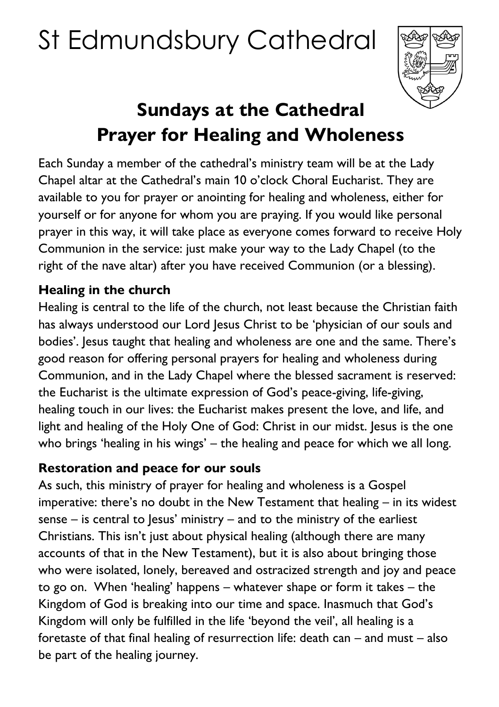# St Edmundsbury Cathedral



# **Sundays at the Cathedral Prayer for Healing and Wholeness**

Each Sunday a member of the cathedral's ministry team will be at the Lady Chapel altar at the Cathedral's main 10 o'clock Choral Eucharist. They are available to you for prayer or anointing for healing and wholeness, either for yourself or for anyone for whom you are praying. If you would like personal prayer in this way, it will take place as everyone comes forward to receive Holy Communion in the service: just make your way to the Lady Chapel (to the right of the nave altar) after you have received Communion (or a blessing).

## **Healing in the church**

Healing is central to the life of the church, not least because the Christian faith has always understood our Lord Jesus Christ to be 'physician of our souls and bodies'. Jesus taught that healing and wholeness are one and the same. There's good reason for offering personal prayers for healing and wholeness during Communion, and in the Lady Chapel where the blessed sacrament is reserved: the Eucharist is the ultimate expression of God's peace-giving, life-giving, healing touch in our lives: the Eucharist makes present the love, and life, and light and healing of the Holy One of God: Christ in our midst. Jesus is the one who brings 'healing in his wings' – the healing and peace for which we all long.

## **Restoration and peace for our souls**

As such, this ministry of prayer for healing and wholeness is a Gospel imperative: there's no doubt in the New Testament that healing – in its widest sense  $-$  is central to Jesus' ministry  $-$  and to the ministry of the earliest Christians. This isn't just about physical healing (although there are many accounts of that in the New Testament), but it is also about bringing those who were isolated, lonely, bereaved and ostracized strength and joy and peace to go on. When 'healing' happens – whatever shape or form it takes – the Kingdom of God is breaking into our time and space. Inasmuch that God's Kingdom will only be fulfilled in the life 'beyond the veil', all healing is a foretaste of that final healing of resurrection life: death can – and must – also be part of the healing journey.